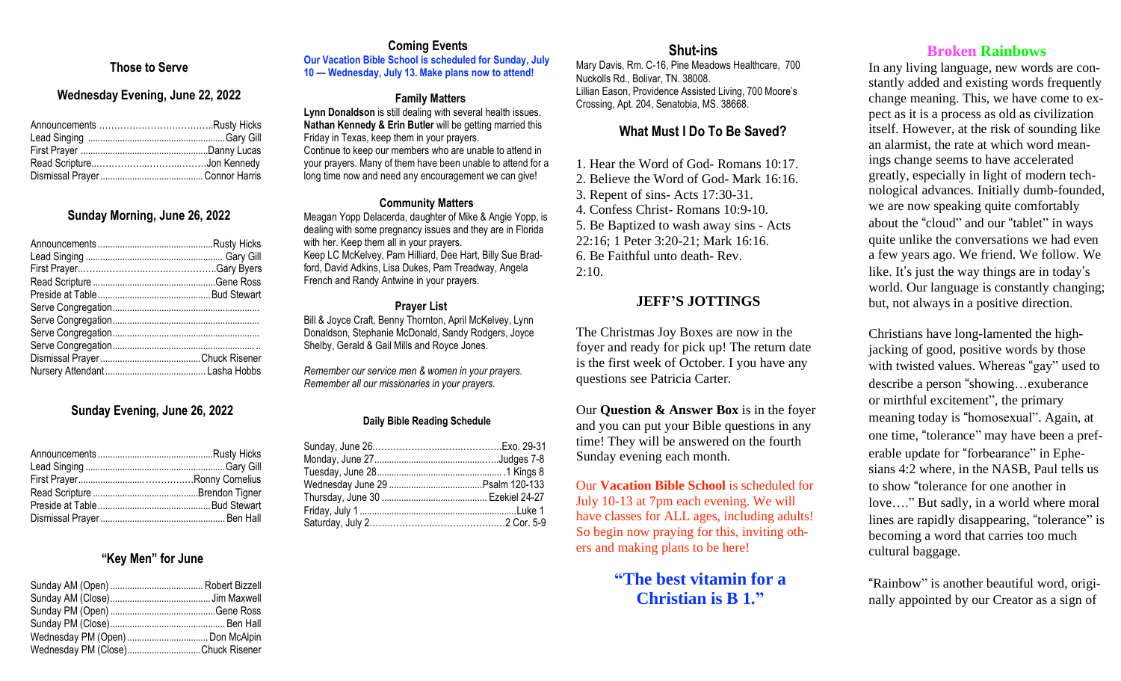# **r Those to Serve**

### **Wednesday Evening, June 22, 2022**

## **Sunday Morning, June 26, 2022**

## **Sunday Evening, June 26, 2022**

#### **"Key Men" for June**

| Wednesday PM (Close)Chuck Risener |
|-----------------------------------|
|                                   |

# **Coming Events**

**Our Vacation Bible School is scheduled for Sunday, July 10 — Wednesday, July 13. Make plans now to attend!**

## **Family Matters**

**Lynn Donaldson** is still dealing with several health issues. **Nathan Kennedy & Erin Butler** will be getting married this Friday in Texas, keep them in your prayers. Continue to keep our members who are unable to attend in your prayers. Many of them have been unable to attend for a long time now and need any encouragement we can give!

#### **Community Matters**

Meagan Yopp Delacerda, daughter of Mike & Angie Yopp, is dealing with some pregnancy issues and they are in Florida with her. Keep them all in your prayers. Keep LC McKelvey, Pam Hilliard, Dee Hart, Billy Sue Bradford, David Adkins, Lisa Dukes, Pam Treadway, Angela French and Randy Antwine in your prayers.

#### **Prayer List**

Bill & Joyce Craft, Benny Thornton, April McKelvey, Lynn Donaldson, Stephanie McDonald, Sandy Rodgers, Joyce Shelby, Gerald & Gail Mills and Royce Jones.

*Remember our service men & women in your prayers. Remember all our missionaries in your prayers.*

#### **Daily Bible Reading Schedule**

## **Shut-ins**

Mary Davis, Rm. C-16, Pine Meadows Healthcare, 700 Nuckolls Rd., Bolivar, TN. 38008. Lillian Eason, Providence Assisted Living, 700 Moore's Crossing, Apt. 204, Senatobia, MS. 38668.

## **What Must I Do To Be Saved?**

1. Hear the Word of God- Romans 10:17.

2. Believe the Word of God- Mark 16:16. 3. Repent of sins- Acts 17:30-31. 4. Confess Christ- Romans 10:9-10. 5. Be Baptized to wash away sins - Acts 22:16; 1 Peter 3:20-21; Mark 16:16.

6. Be Faithful unto death- Rev.

## 2:10.

# **JEFF'S JOTTINGS**

The Christmas Joy Boxes are now in the foyer and ready for pick up! The return date is the first week of October. I you have any questions see Patricia Carter.

Our **Question & Answer Box** is in the foyer and you can put your Bible questions in any time! They will be answered on the fourth Sunday evening each month.

Our **Vacation Bible School** is scheduled for July 10-13 at 7pm each evening. We will have classes for ALL ages, including adults! So begin now praying for this, inviting others and making plans to be here!

> **"The best vitamin for a Christian is B 1."**

## **Broken Rainbows**

In any living language, new words are constantly added and existing words frequently change meaning. This, we have come to expect as it is a process as old as civilization itself. However, at the risk of sounding like an alarmist, the rate at which word meanings change seems to have accelerated greatly, especially in light of modern technological advances. Initially dumb-founded, we are now speaking quite comfortably about the "cloud" and our "tablet" in ways quite unlike the conversations we had even a few years ago. We friend. We follow. We like. It's just the way things are in today's world. Our language is constantly changing; but, not always in a positive direction.

Christians have long-lamented the highjacking of good, positive words by those with twisted values. Whereas "gay" used to describe a person "showing…exuberance or mirthful excitement", the primary meaning today is "homosexual". Again, at one time, "tolerance" may have been a preferable update for "forbearance" in Ephesians 4:2 where, in the NASB, Paul tells us to show "tolerance for one another in love…." But sadly, in a world where moral lines are rapidly disappearing, "tolerance" is becoming a word that carries too much cultural baggage.

"Rainbow" is another beautiful word, originally appointed by our Creator as a sign of